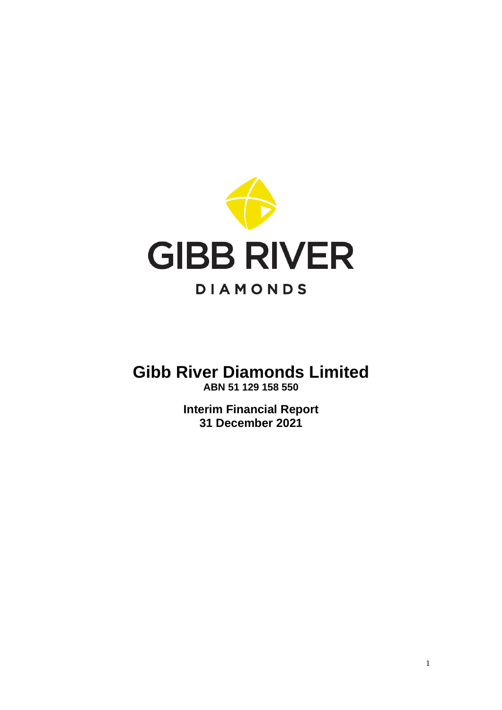

# **Gibb River Diamonds Limited ABN 51 129 158 550**

**Interim Financial Report 31 December 2021**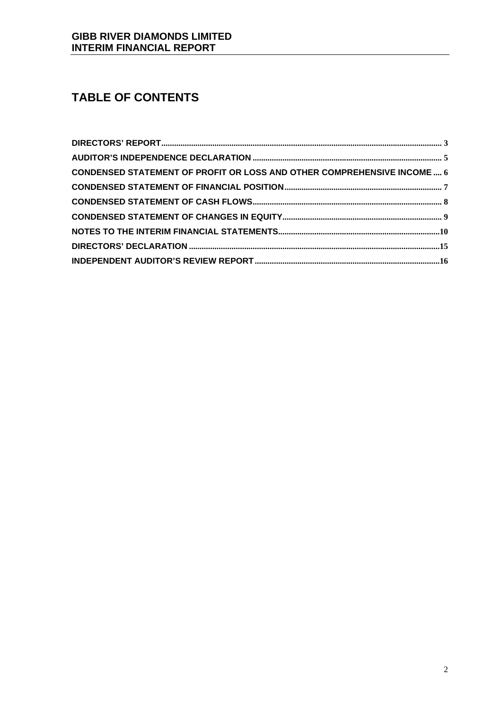# **TABLE OF CONTENTS**

| CONDENSED STATEMENT OF PROFIT OR LOSS AND OTHER COMPREHENSIVE INCOME  6 |  |
|-------------------------------------------------------------------------|--|
|                                                                         |  |
|                                                                         |  |
|                                                                         |  |
|                                                                         |  |
|                                                                         |  |
|                                                                         |  |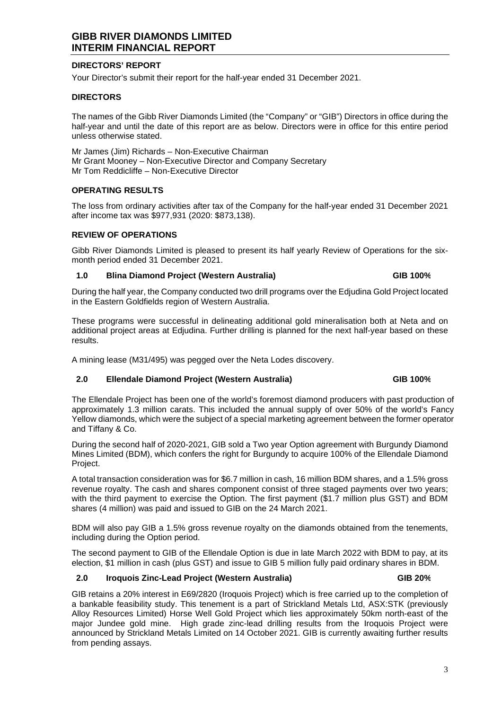### **DIRECTORS' REPORT**

Your Director's submit their report for the half-year ended 31 December 2021.

#### **DIRECTORS**

The names of the Gibb River Diamonds Limited (the "Company" or "GIB") Directors in office during the half-year and until the date of this report are as below. Directors were in office for this entire period unless otherwise stated.

Mr James (Jim) Richards – Non-Executive Chairman Mr Grant Mooney – Non-Executive Director and Company Secretary Mr Tom Reddicliffe – Non-Executive Director

#### **OPERATING RESULTS**

The loss from ordinary activities after tax of the Company for the half-year ended 31 December 2021 after income tax was \$977,931 (2020: \$873,138).

#### **REVIEW OF OPERATIONS**

Gibb River Diamonds Limited is pleased to present its half yearly Review of Operations for the sixmonth period ended 31 December 2021.

#### **1.0 Blina Diamond Project (Western Australia) GIB 100%**

During the half year, the Company conducted two drill programs over the Edjudina Gold Project located in the Eastern Goldfields region of Western Australia.

These programs were successful in delineating additional gold mineralisation both at Neta and on additional project areas at Edjudina. Further drilling is planned for the next half-year based on these results.

A mining lease (M31/495) was pegged over the Neta Lodes discovery.

#### **2.0 Ellendale Diamond Project (Western Australia) GIB 100%**

The Ellendale Project has been one of the world's foremost diamond producers with past production of approximately 1.3 million carats. This included the annual supply of over 50% of the world's Fancy Yellow diamonds, which were the subject of a special marketing agreement between the former operator and Tiffany & Co.

During the second half of 2020-2021, GIB sold a Two year Option agreement with Burgundy Diamond Mines Limited (BDM), which confers the right for Burgundy to acquire 100% of the Ellendale Diamond Project.

A total transaction consideration was for \$6.7 million in cash, 16 million BDM shares, and a 1.5% gross revenue royalty. The cash and shares component consist of three staged payments over two years; with the third payment to exercise the Option. The first payment (\$1.7 million plus GST) and BDM shares (4 million) was paid and issued to GIB on the 24 March 2021.

BDM will also pay GIB a 1.5% gross revenue royalty on the diamonds obtained from the tenements, including during the Option period.

The second payment to GIB of the Ellendale Option is due in late March 2022 with BDM to pay, at its election, \$1 million in cash (plus GST) and issue to GIB 5 million fully paid ordinary shares in BDM.

#### **2.0 Iroquois Zinc-Lead Project (Western Australia) GIB 20%**

GIB retains a 20% interest in E69/2820 (Iroquois Project) which is free carried up to the completion of a bankable feasibility study. This tenement is a part of Strickland Metals Ltd, ASX:STK (previously Alloy Resources Limited) Horse Well Gold Project which lies approximately 50km north-east of the major Jundee gold mine. High grade zinc-lead drilling results from the Iroquois Project were announced by Strickland Metals Limited on 14 October 2021. GIB is currently awaiting further results from pending assays.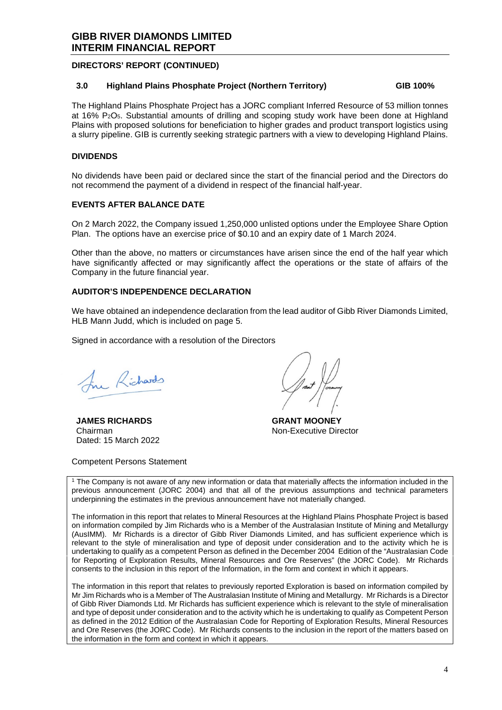#### **DIRECTORS' REPORT (CONTINUED)**

#### **3.0 Highland Plains Phosphate Project (Northern Territory) GIB 100%**

The Highland Plains Phosphate Project has a JORC compliant Inferred Resource of 53 million tonnes at 16% P2O5. Substantial amounts of drilling and scoping study work have been done at Highland Plains with proposed solutions for beneficiation to higher grades and product transport logistics using a slurry pipeline. GIB is currently seeking strategic partners with a view to developing Highland Plains.

#### **DIVIDENDS**

No dividends have been paid or declared since the start of the financial period and the Directors do not recommend the payment of a dividend in respect of the financial half-year.

#### **EVENTS AFTER BALANCE DATE**

On 2 March 2022, the Company issued 1,250,000 unlisted options under the Employee Share Option Plan. The options have an exercise price of \$0.10 and an expiry date of 1 March 2024.

Other than the above, no matters or circumstances have arisen since the end of the half year which have significantly affected or may significantly affect the operations or the state of affairs of the Company in the future financial year.

### **AUDITOR'S INDEPENDENCE DECLARATION**

We have obtained an independence declaration from the lead auditor of Gibb River Diamonds Limited, HLB Mann Judd, which is included on page 5.

Signed in accordance with a resolution of the Directors

In Richards

**JAMES RICHARDS**  Chairman Dated: 15 March 2022

**GRANT MOONEY**  Non-Executive Director

Competent Persons Statement

1 The Company is not aware of any new information or data that materially affects the information included in the previous announcement (JORC 2004) and that all of the previous assumptions and technical parameters underpinning the estimates in the previous announcement have not materially changed.

The information in this report that relates to Mineral Resources at the Highland Plains Phosphate Project is based on information compiled by Jim Richards who is a Member of the Australasian Institute of Mining and Metallurgy (AusIMM). Mr Richards is a director of Gibb River Diamonds Limited, and has sufficient experience which is relevant to the style of mineralisation and type of deposit under consideration and to the activity which he is undertaking to qualify as a competent Person as defined in the December 2004 Edition of the "Australasian Code for Reporting of Exploration Results, Mineral Resources and Ore Reserves" (the JORC Code). Mr Richards consents to the inclusion in this report of the Information, in the form and context in which it appears.

The information in this report that relates to previously reported Exploration is based on information compiled by Mr Jim Richards who is a Member of The Australasian Institute of Mining and Metallurgy. Mr Richards is a Director of Gibb River Diamonds Ltd. Mr Richards has sufficient experience which is relevant to the style of mineralisation and type of deposit under consideration and to the activity which he is undertaking to qualify as Competent Person as defined in the 2012 Edition of the Australasian Code for Reporting of Exploration Results, Mineral Resources and Ore Reserves (the JORC Code). Mr Richards consents to the inclusion in the report of the matters based on the information in the form and context in which it appears.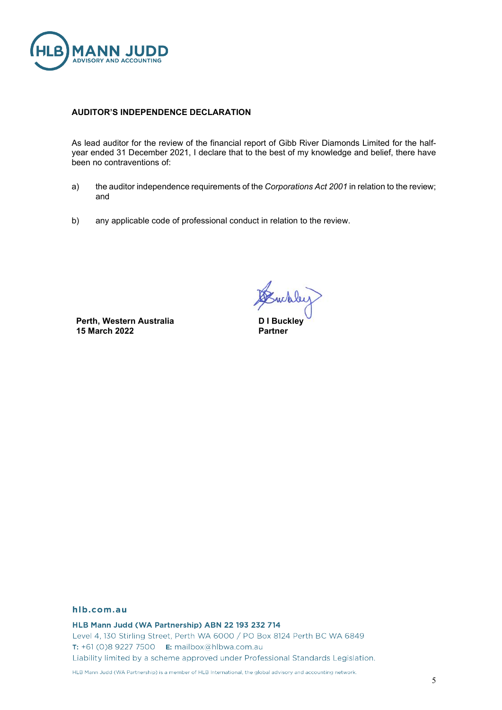

#### **AUDITOR'S INDEPENDENCE DECLARATION**

As lead auditor for the review of the financial report of Gibb River Diamonds Limited for the halfyear ended 31 December 2021, I declare that to the best of my knowledge and belief, there have been no contraventions of:

- a) the auditor independence requirements of the *Corporations Act 2001* in relation to the review; and
- b) any applicable code of professional conduct in relation to the review.

**Perth, Western Australia 15 March 2022**

webley

**D I Buckley Partner**

#### hlb.com.au

HLB Mann Judd (WA Partnership) ABN 22 193 232 714

Level 4, 130 Stirling Street, Perth WA 6000 / PO Box 8124 Perth BC WA 6849 T: +61 (0)8 9227 7500 E: mailbox@hlbwa.com.au Liability limited by a scheme approved under Professional Standards Legislation.

HLB Mann Judd (WA Partnership) is a member of HLB International, the global advisory and accounting network.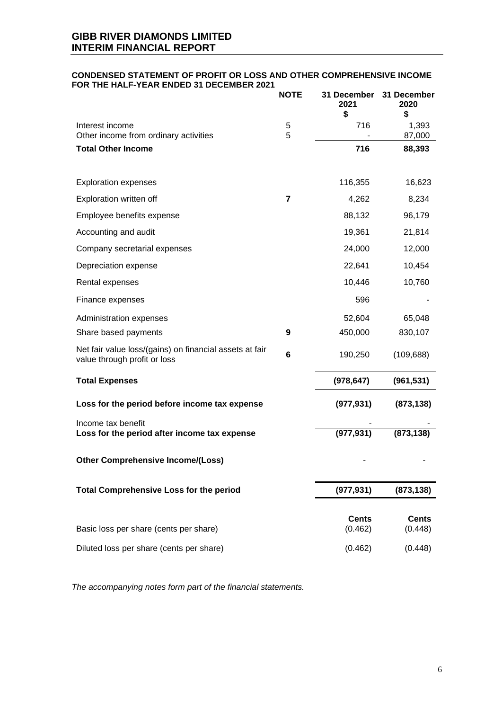#### **CONDENSED STATEMENT OF PROFIT OR LOSS AND OTHER COMPREHENSIVE INCOME FOR THE HALF-YEAR ENDED 31 DECEMBER 2021**

|                                                                                         | <b>NOTE</b> | 31 December<br>2021<br>\$ | 31 December<br>2020<br>\$ |
|-----------------------------------------------------------------------------------------|-------------|---------------------------|---------------------------|
| Interest income                                                                         | 5           | 716                       | 1,393                     |
| Other income from ordinary activities<br><b>Total Other Income</b>                      | 5           | 716                       | 87,000<br>88,393          |
|                                                                                         |             |                           |                           |
| <b>Exploration expenses</b>                                                             |             | 116,355                   | 16,623                    |
| Exploration written off                                                                 | 7           | 4,262                     | 8,234                     |
| Employee benefits expense                                                               |             | 88,132                    | 96,179                    |
| Accounting and audit                                                                    |             | 19,361                    | 21,814                    |
| Company secretarial expenses                                                            |             | 24,000                    | 12,000                    |
| Depreciation expense                                                                    |             | 22,641                    | 10,454                    |
| Rental expenses                                                                         |             | 10,446                    | 10,760                    |
| Finance expenses                                                                        |             | 596                       |                           |
| Administration expenses                                                                 |             | 52,604                    | 65,048                    |
| Share based payments                                                                    | 9           | 450,000                   | 830,107                   |
| Net fair value loss/(gains) on financial assets at fair<br>value through profit or loss | 6           | 190,250                   | (109, 688)                |
| <b>Total Expenses</b>                                                                   |             | (978, 647)                | (961, 531)                |
| Loss for the period before income tax expense                                           |             | (977, 931)                | (873, 138)                |
| Income tax benefit<br>Loss for the period after income tax expense                      |             | (977, 931)                | (873, 138)                |
| <b>Other Comprehensive Income/(Loss)</b>                                                |             |                           |                           |
| <b>Total Comprehensive Loss for the period</b>                                          |             | (977, 931)                | (873, 138)                |
| Basic loss per share (cents per share)                                                  |             | <b>Cents</b><br>(0.462)   | <b>Cents</b><br>(0.448)   |
| Diluted loss per share (cents per share)                                                |             | (0.462)                   | (0.448)                   |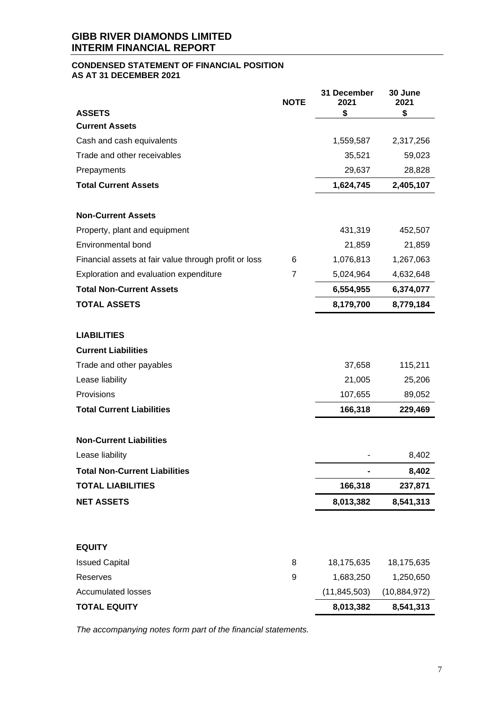### **CONDENSED STATEMENT OF FINANCIAL POSITION AS AT 31 DECEMBER 2021**

|                                                       | <b>NOTE</b>    | 31 December<br>2021 | 30 June<br>2021 |
|-------------------------------------------------------|----------------|---------------------|-----------------|
| <b>ASSETS</b>                                         |                | \$                  | \$              |
| <b>Current Assets</b>                                 |                |                     |                 |
| Cash and cash equivalents                             |                | 1,559,587           | 2,317,256       |
| Trade and other receivables                           |                | 35,521              | 59,023          |
| Prepayments                                           |                | 29,637              | 28,828          |
| <b>Total Current Assets</b>                           |                | 1,624,745           | 2,405,107       |
| <b>Non-Current Assets</b>                             |                |                     |                 |
| Property, plant and equipment                         |                | 431,319             | 452,507         |
| <b>Environmental bond</b>                             |                | 21,859              | 21,859          |
| Financial assets at fair value through profit or loss | 6              | 1,076,813           | 1,267,063       |
| Exploration and evaluation expenditure                | $\overline{7}$ | 5,024,964           | 4,632,648       |
| <b>Total Non-Current Assets</b>                       |                | 6,554,955           | 6,374,077       |
| <b>TOTAL ASSETS</b>                                   |                | 8,179,700           | 8,779,184       |
| <b>LIABILITIES</b>                                    |                |                     |                 |
| <b>Current Liabilities</b>                            |                |                     |                 |
| Trade and other payables                              |                | 37,658              | 115,211         |
| Lease liability                                       |                | 21,005              | 25,206          |
| Provisions                                            |                | 107,655             | 89,052          |
| <b>Total Current Liabilities</b>                      |                | 166,318             | 229,469         |
| <b>Non-Current Liabilities</b>                        |                |                     |                 |
| Lease liability                                       |                |                     | 8,402           |
| <b>Total Non-Current Liabilities</b>                  |                |                     | 8,402           |
| <b>TOTAL LIABILITIES</b>                              |                | 166,318             | 237,871         |
| <b>NET ASSETS</b>                                     |                | 8,013,382           | 8,541,313       |
|                                                       |                |                     |                 |
| <b>EQUITY</b>                                         |                |                     |                 |
| <b>Issued Capital</b>                                 | 8              | 18,175,635          | 18,175,635      |
| Reserves                                              | 9              | 1,683,250           | 1,250,650       |
| <b>Accumulated losses</b>                             |                | (11, 845, 503)      | (10, 884, 972)  |
| <b>TOTAL EQUITY</b>                                   |                | 8,013,382           | 8,541,313       |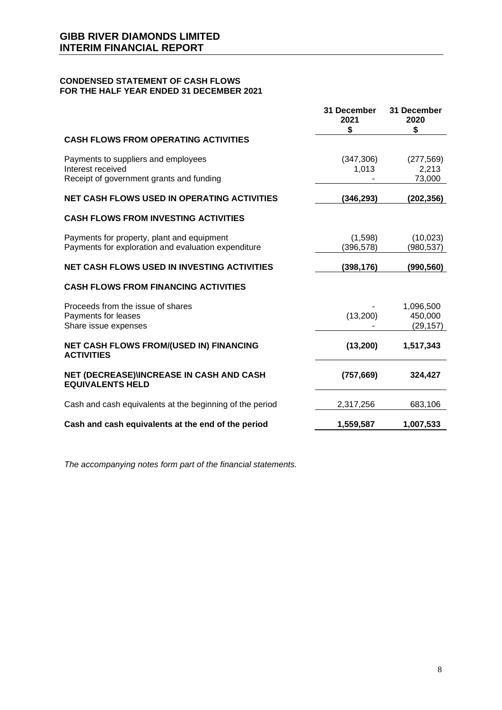### **CONDENSED STATEMENT OF CASH FLOWS FOR THE HALF YEAR ENDED 31 DECEMBER 2021**

|                                                                                                      | 31 December<br>2021<br>\$ | 31 December<br>2020<br>\$         |
|------------------------------------------------------------------------------------------------------|---------------------------|-----------------------------------|
| <b>CASH FLOWS FROM OPERATING ACTIVITIES</b>                                                          |                           |                                   |
| Payments to suppliers and employees<br>Interest received<br>Receipt of government grants and funding | (347, 306)<br>1,013       | (277, 569)<br>2,213<br>73,000     |
| <b>NET CASH FLOWS USED IN OPERATING ACTIVITIES</b>                                                   | (346,293)                 | (202, 356)                        |
| <b>CASH FLOWS FROM INVESTING ACTIVITIES</b>                                                          |                           |                                   |
| Payments for property, plant and equipment<br>Payments for exploration and evaluation expenditure    | (1,598)<br>(396, 578)     | (10, 023)<br>(980, 537)           |
| <b>NET CASH FLOWS USED IN INVESTING ACTIVITIES</b>                                                   | (398,176)                 | (990, 560)                        |
| <b>CASH FLOWS FROM FINANCING ACTIVITIES</b>                                                          |                           |                                   |
| Proceeds from the issue of shares<br>Payments for leases<br>Share issue expenses                     | (13,200)                  | 1,096,500<br>450,000<br>(29, 157) |
| NET CASH FLOWS FROM/(USED IN) FINANCING<br><b>ACTIVITIES</b>                                         | (13,200)                  | 1,517,343                         |
| <b>NET (DECREASE)\INCREASE IN CASH AND CASH</b><br><b>EQUIVALENTS HELD</b>                           | (757, 669)                | 324,427                           |
| Cash and cash equivalents at the beginning of the period                                             | 2,317,256                 | 683,106                           |
| Cash and cash equivalents at the end of the period                                                   | 1,559,587                 | 1,007,533                         |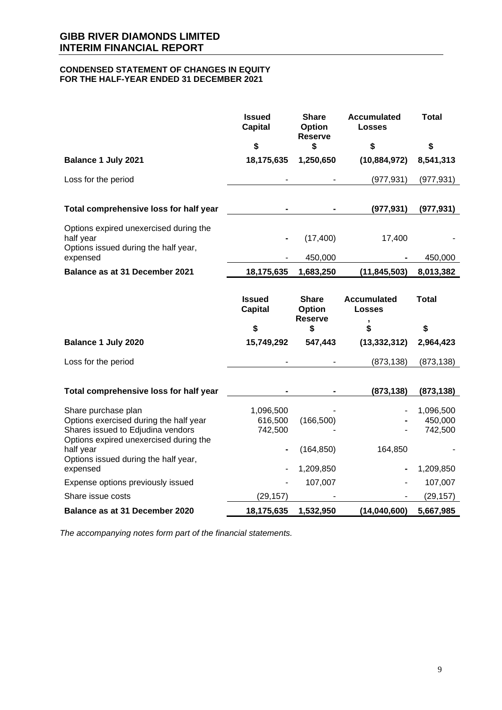#### **CONDENSED STATEMENT OF CHANGES IN EQUITY FOR THE HALF-YEAR ENDED 31 DECEMBER 2021**

|                                                                                                                                              | <b>Issued</b><br><b>Capital</b> | <b>Share</b><br>Option<br><b>Reserve</b> | <b>Accumulated</b><br><b>Losses</b> | <b>Total</b>                    |
|----------------------------------------------------------------------------------------------------------------------------------------------|---------------------------------|------------------------------------------|-------------------------------------|---------------------------------|
|                                                                                                                                              | \$                              | \$                                       | \$                                  | \$                              |
| Balance 1 July 2021                                                                                                                          | 18,175,635                      | 1,250,650                                | (10, 884, 972)                      | 8,541,313                       |
| Loss for the period                                                                                                                          |                                 |                                          | (977, 931)                          | (977, 931)                      |
| Total comprehensive loss for half year                                                                                                       |                                 |                                          | (977, 931)                          | (977, 931)                      |
| Options expired unexercised during the<br>half year                                                                                          |                                 | (17, 400)                                | 17,400                              |                                 |
| Options issued during the half year,<br>expensed                                                                                             |                                 | 450,000                                  |                                     | 450,000                         |
| Balance as at 31 December 2021                                                                                                               | 18,175,635                      | 1,683,250                                | (11, 845, 503)                      | 8,013,382                       |
|                                                                                                                                              |                                 |                                          |                                     |                                 |
|                                                                                                                                              | <b>Issued</b><br><b>Capital</b> | <b>Share</b><br>Option<br><b>Reserve</b> | <b>Accumulated</b><br><b>Losses</b> | <b>Total</b>                    |
|                                                                                                                                              | \$                              | \$                                       | ,<br>\$                             | \$                              |
| Balance 1 July 2020                                                                                                                          | 15,749,292                      | 547,443                                  | (13, 332, 312)                      | 2,964,423                       |
| Loss for the period                                                                                                                          |                                 |                                          | (873, 138)                          | (873, 138)                      |
| Total comprehensive loss for half year                                                                                                       |                                 |                                          | (873, 138)                          | (873, 138)                      |
| Share purchase plan<br>Options exercised during the half year<br>Shares issued to Edjudina vendors<br>Options expired unexercised during the | 1,096,500<br>616,500<br>742,500 | (166, 500)                               |                                     | 1,096,500<br>450,000<br>742,500 |
| half year<br>Options issued during the half year,                                                                                            |                                 | (164, 850)                               | 164,850                             |                                 |
| expensed<br>Expense options previously issued                                                                                                |                                 | 1,209,850<br>107,007                     |                                     | 1,209,850<br>107,007            |
| Share issue costs                                                                                                                            | (29, 157)                       |                                          |                                     | (29, 157)                       |
| Balance as at 31 December 2020                                                                                                               | 18,175,635                      | 1,532,950                                | (14,040,600)                        | 5,667,985                       |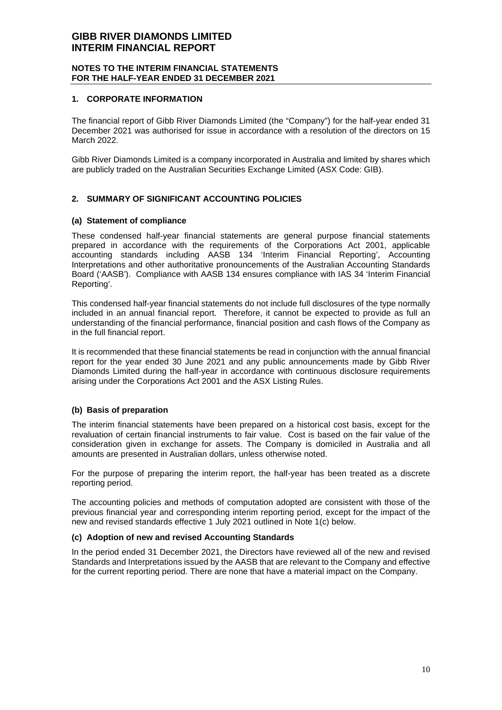#### **NOTES TO THE INTERIM FINANCIAL STATEMENTS FOR THE HALF-YEAR ENDED 31 DECEMBER 2021**

#### **1. CORPORATE INFORMATION**

The financial report of Gibb River Diamonds Limited (the "Company") for the half-year ended 31 December 2021 was authorised for issue in accordance with a resolution of the directors on 15 March 2022.

Gibb River Diamonds Limited is a company incorporated in Australia and limited by shares which are publicly traded on the Australian Securities Exchange Limited (ASX Code: GIB).

# **2. SUMMARY OF SIGNIFICANT ACCOUNTING POLICIES**

#### **(a) Statement of compliance**

These condensed half-year financial statements are general purpose financial statements prepared in accordance with the requirements of the Corporations Act 2001, applicable accounting standards including AASB 134 'Interim Financial Reporting', Accounting Interpretations and other authoritative pronouncements of the Australian Accounting Standards Board ('AASB'). Compliance with AASB 134 ensures compliance with IAS 34 'Interim Financial Reporting'.

This condensed half-year financial statements do not include full disclosures of the type normally included in an annual financial report. Therefore, it cannot be expected to provide as full an understanding of the financial performance, financial position and cash flows of the Company as in the full financial report.

It is recommended that these financial statements be read in conjunction with the annual financial report for the year ended 30 June 2021 and any public announcements made by Gibb River Diamonds Limited during the half-year in accordance with continuous disclosure requirements arising under the Corporations Act 2001 and the ASX Listing Rules.

# **(b) Basis of preparation**

The interim financial statements have been prepared on a historical cost basis, except for the revaluation of certain financial instruments to fair value. Cost is based on the fair value of the consideration given in exchange for assets. The Company is domiciled in Australia and all amounts are presented in Australian dollars, unless otherwise noted.

For the purpose of preparing the interim report, the half-year has been treated as a discrete reporting period.

The accounting policies and methods of computation adopted are consistent with those of the previous financial year and corresponding interim reporting period, except for the impact of the new and revised standards effective 1 July 2021 outlined in Note 1(c) below.

#### **(c) Adoption of new and revised Accounting Standards**

In the period ended 31 December 2021, the Directors have reviewed all of the new and revised Standards and Interpretations issued by the AASB that are relevant to the Company and effective for the current reporting period. There are none that have a material impact on the Company.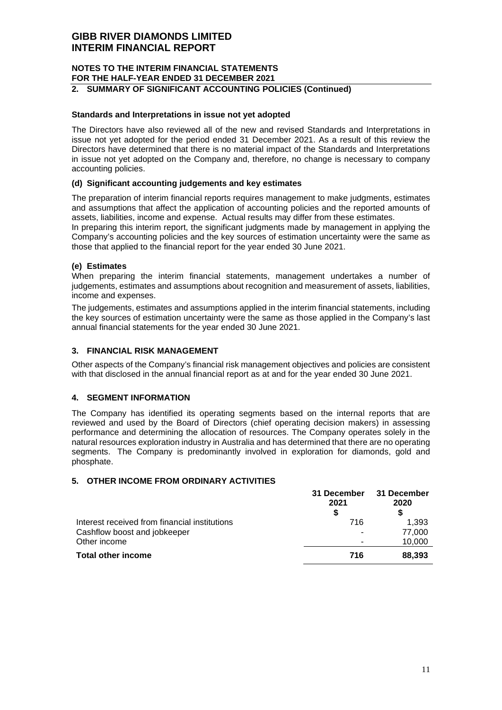# **NOTES TO THE INTERIM FINANCIAL STATEMENTS FOR THE HALF-YEAR ENDED 31 DECEMBER 2021**

# **2. SUMMARY OF SIGNIFICANT ACCOUNTING POLICIES (Continued)**

#### **Standards and Interpretations in issue not yet adopted**

The Directors have also reviewed all of the new and revised Standards and Interpretations in issue not yet adopted for the period ended 31 December 2021. As a result of this review the Directors have determined that there is no material impact of the Standards and Interpretations in issue not yet adopted on the Company and, therefore, no change is necessary to company accounting policies.

#### **(d) Significant accounting judgements and key estimates**

The preparation of interim financial reports requires management to make judgments, estimates and assumptions that affect the application of accounting policies and the reported amounts of assets, liabilities, income and expense. Actual results may differ from these estimates.

In preparing this interim report, the significant judgments made by management in applying the Company's accounting policies and the key sources of estimation uncertainty were the same as those that applied to the financial report for the year ended 30 June 2021.

#### **(e) Estimates**

When preparing the interim financial statements, management undertakes a number of judgements, estimates and assumptions about recognition and measurement of assets, liabilities, income and expenses.

The judgements, estimates and assumptions applied in the interim financial statements, including the key sources of estimation uncertainty were the same as those applied in the Company's last annual financial statements for the year ended 30 June 2021.

#### **3. FINANCIAL RISK MANAGEMENT**

Other aspects of the Company's financial risk management objectives and policies are consistent with that disclosed in the annual financial report as at and for the year ended 30 June 2021.

#### **4. SEGMENT INFORMATION**

The Company has identified its operating segments based on the internal reports that are reviewed and used by the Board of Directors (chief operating decision makers) in assessing performance and determining the allocation of resources. The Company operates solely in the natural resources exploration industry in Australia and has determined that there are no operating segments. The Company is predominantly involved in exploration for diamonds, gold and phosphate.

#### **5. OTHER INCOME FROM ORDINARY ACTIVITIES**

|                                               | 31 December<br>2021<br>S | 31 December<br>2020 |
|-----------------------------------------------|--------------------------|---------------------|
| Interest received from financial institutions | 716                      | 1,393               |
| Cashflow boost and jobkeeper                  |                          | 77.000              |
| Other income                                  |                          | 10,000              |
| <b>Total other income</b>                     | 716                      | 88,393              |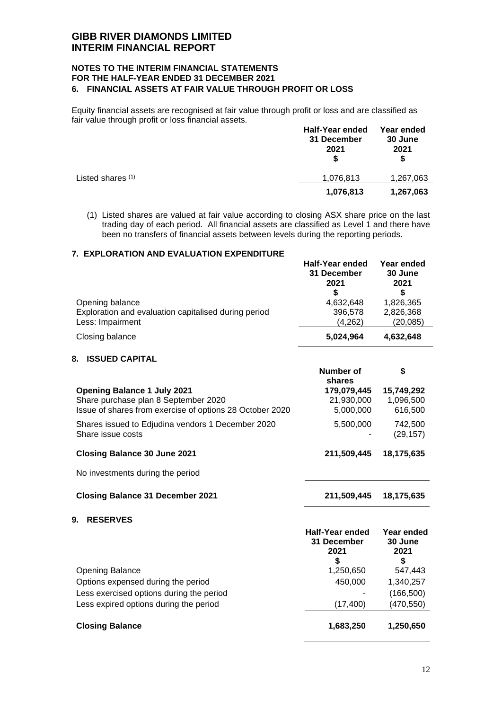#### **NOTES TO THE INTERIM FINANCIAL STATEMENTS FOR THE HALF-YEAR ENDED 31 DECEMBER 2021 6. FINANCIAL ASSETS AT FAIR VALUE THROUGH PROFIT OR LOSS**

Equity financial assets are recognised at fair value through profit or loss and are classified as fair value through profit or loss financial assets. **Half-Year ended Year ended** 

|                   | <b>Hall-Year ended</b><br>31 December<br>2021<br>S | rear ended<br>30 June<br>2021<br>S |
|-------------------|----------------------------------------------------|------------------------------------|
| Listed shares (1) | 1,076,813                                          | 1,267,063                          |
|                   | 1,076,813                                          | 1,267,063                          |
|                   |                                                    |                                    |

(1) Listed shares are valued at fair value according to closing ASX share price on the last trading day of each period. All financial assets are classified as Level 1 and there have been no transfers of financial assets between levels during the reporting periods.

# **7. EXPLORATION AND EVALUATION EXPENDITURE**

|                                                                                             | <b>Half-Year ended</b><br>31 December<br>2021<br>S | Year ended<br>30 June<br>2021<br>S  |
|---------------------------------------------------------------------------------------------|----------------------------------------------------|-------------------------------------|
| Opening balance<br>Exploration and evaluation capitalised during period<br>Less: Impairment | 4,632,648<br>396,578<br>(4,262)                    | 1,826,365<br>2,826,368<br>(20, 085) |
| Closing balance                                                                             | 5,024,964                                          | 4,632,648                           |

### **8. ISSUED CAPITAL**

|                                                                        | Number of<br>shares | \$                   |
|------------------------------------------------------------------------|---------------------|----------------------|
| <b>Opening Balance 1 July 2021</b>                                     | 179,079,445         | 15,749,292           |
| Share purchase plan 8 September 2020                                   | 21,930,000          | 1,096,500            |
| Issue of shares from exercise of options 28 October 2020               | 5,000,000           | 616,500              |
| Shares issued to Edjudina vendors 1 December 2020<br>Share issue costs | 5,500,000           | 742,500<br>(29, 157) |
| <b>Closing Balance 30 June 2021</b>                                    | 211,509,445         | 18,175,635           |
| No investments during the period                                       |                     |                      |
|                                                                        |                     |                      |

- **Closing Balance 31 December 2021 211,509,445 18,175,635**
- **9. RESERVES**

|                                          | <b>Half-Year ended</b><br><b>31 December</b><br>2021<br>S | Year ended<br>30 June<br>2021<br>S |
|------------------------------------------|-----------------------------------------------------------|------------------------------------|
| <b>Opening Balance</b>                   | 1,250,650                                                 | 547,443                            |
| Options expensed during the period       | 450,000                                                   | 1,340,257                          |
| Less exercised options during the period |                                                           | (166, 500)                         |
| Less expired options during the period   | (17, 400)                                                 | (470, 550)                         |
| <b>Closing Balance</b>                   | 1,683,250                                                 | 1,250,650                          |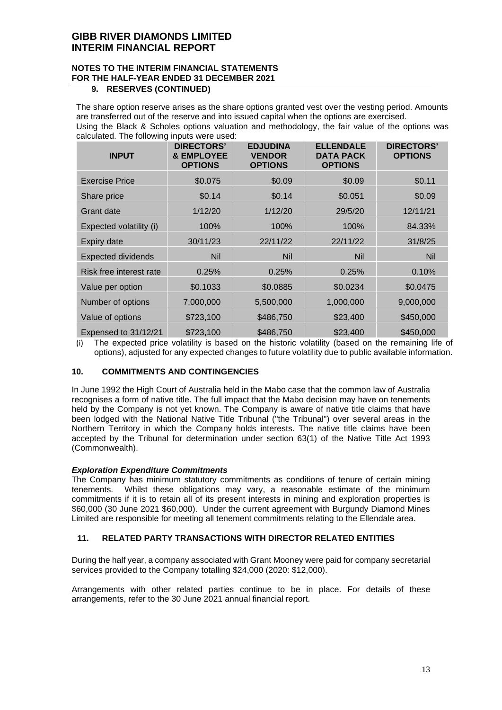# **NOTES TO THE INTERIM FINANCIAL STATEMENTS FOR THE HALF-YEAR ENDED 31 DECEMBER 2021**

### **9. RESERVES (CONTINUED)**

The share option reserve arises as the share options granted vest over the vesting period. Amounts are transferred out of the reserve and into issued capital when the options are exercised. Using the Black & Scholes options valuation and methodology, the fair value of the options was calculated. The following inputs were used:

| <b>INPUT</b>              | <b>DIRECTORS'</b><br>& EMPLOYEE<br><b>OPTIONS</b> | <b>EDJUDINA</b><br><b>VENDOR</b><br><b>OPTIONS</b> | <b>ELLENDALE</b><br><b>DATA PACK</b><br><b>OPTIONS</b> | <b>DIRECTORS'</b><br><b>OPTIONS</b> |
|---------------------------|---------------------------------------------------|----------------------------------------------------|--------------------------------------------------------|-------------------------------------|
| <b>Exercise Price</b>     | \$0.075                                           | \$0.09                                             | \$0.09                                                 | \$0.11                              |
| Share price               | \$0.14                                            | \$0.14                                             | \$0.051                                                | \$0.09                              |
| Grant date                | 1/12/20                                           | 1/12/20                                            | 29/5/20                                                | 12/11/21                            |
| Expected volatility (i)   | 100%                                              | 100%                                               | 100%                                                   | 84.33%                              |
| Expiry date               | 30/11/23                                          | 22/11/22                                           | 22/11/22                                               | 31/8/25                             |
| <b>Expected dividends</b> | <b>Nil</b>                                        | <b>Nil</b>                                         | <b>Nil</b>                                             | <b>Nil</b>                          |
| Risk free interest rate   | 0.25%                                             | 0.25%                                              | 0.25%                                                  | 0.10%                               |
| Value per option          | \$0.1033                                          | \$0.0885                                           | \$0.0234                                               | \$0.0475                            |
| Number of options         | 7,000,000                                         | 5,500,000                                          | 1,000,000                                              | 9,000,000                           |
| Value of options          | \$723,100                                         | \$486,750                                          | \$23,400                                               | \$450,000                           |
| Expensed to 31/12/21      | \$723,100                                         | \$486,750                                          | \$23,400                                               | \$450,000                           |

(i) The expected price volatility is based on the historic volatility (based on the remaining life of options), adjusted for any expected changes to future volatility due to public available information.

# **10. COMMITMENTS AND CONTINGENCIES**

In June 1992 the High Court of Australia held in the Mabo case that the common law of Australia recognises a form of native title. The full impact that the Mabo decision may have on tenements held by the Company is not yet known. The Company is aware of native title claims that have been lodged with the National Native Title Tribunal ("the Tribunal") over several areas in the Northern Territory in which the Company holds interests. The native title claims have been accepted by the Tribunal for determination under section 63(1) of the Native Title Act 1993 (Commonwealth).

#### *Exploration Expenditure Commitments*

The Company has minimum statutory commitments as conditions of tenure of certain mining tenements. Whilst these obligations may vary, a reasonable estimate of the minimum commitments if it is to retain all of its present interests in mining and exploration properties is \$60,000 (30 June 2021 \$60,000). Under the current agreement with Burgundy Diamond Mines Limited are responsible for meeting all tenement commitments relating to the Ellendale area.

# **11. RELATED PARTY TRANSACTIONS WITH DIRECTOR RELATED ENTITIES**

During the half year, a company associated with Grant Mooney were paid for company secretarial services provided to the Company totalling \$24,000 (2020: \$12,000).

Arrangements with other related parties continue to be in place. For details of these arrangements, refer to the 30 June 2021 annual financial report.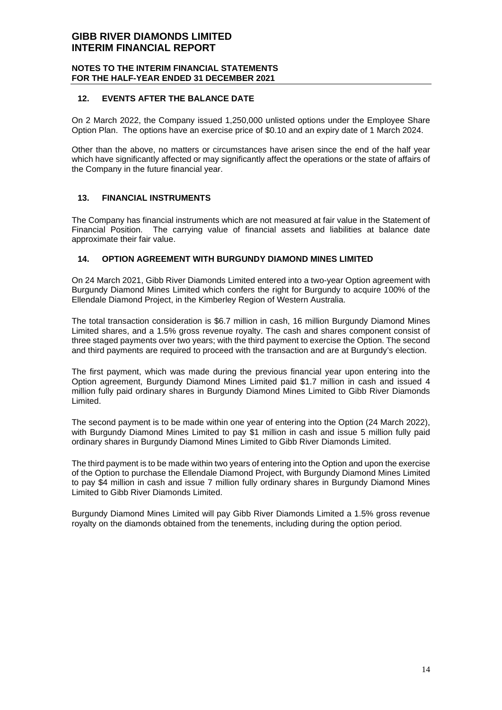#### **NOTES TO THE INTERIM FINANCIAL STATEMENTS FOR THE HALF-YEAR ENDED 31 DECEMBER 2021**

#### **12. EVENTS AFTER THE BALANCE DATE**

On 2 March 2022, the Company issued 1,250,000 unlisted options under the Employee Share Option Plan. The options have an exercise price of \$0.10 and an expiry date of 1 March 2024.

Other than the above, no matters or circumstances have arisen since the end of the half year which have significantly affected or may significantly affect the operations or the state of affairs of the Company in the future financial year.

### **13. FINANCIAL INSTRUMENTS**

The Company has financial instruments which are not measured at fair value in the Statement of Financial Position. The carrying value of financial assets and liabilities at balance date approximate their fair value.

### **14. OPTION AGREEMENT WITH BURGUNDY DIAMOND MINES LIMITED**

On 24 March 2021, Gibb River Diamonds Limited entered into a two-year Option agreement with Burgundy Diamond Mines Limited which confers the right for Burgundy to acquire 100% of the Ellendale Diamond Project, in the Kimberley Region of Western Australia.

The total transaction consideration is \$6.7 million in cash, 16 million Burgundy Diamond Mines Limited shares, and a 1.5% gross revenue royalty. The cash and shares component consist of three staged payments over two years; with the third payment to exercise the Option. The second and third payments are required to proceed with the transaction and are at Burgundy's election.

The first payment, which was made during the previous financial year upon entering into the Option agreement, Burgundy Diamond Mines Limited paid \$1.7 million in cash and issued 4 million fully paid ordinary shares in Burgundy Diamond Mines Limited to Gibb River Diamonds Limited.

The second payment is to be made within one year of entering into the Option (24 March 2022), with Burgundy Diamond Mines Limited to pay \$1 million in cash and issue 5 million fully paid ordinary shares in Burgundy Diamond Mines Limited to Gibb River Diamonds Limited.

The third payment is to be made within two years of entering into the Option and upon the exercise of the Option to purchase the Ellendale Diamond Project, with Burgundy Diamond Mines Limited to pay \$4 million in cash and issue 7 million fully ordinary shares in Burgundy Diamond Mines Limited to Gibb River Diamonds Limited.

Burgundy Diamond Mines Limited will pay Gibb River Diamonds Limited a 1.5% gross revenue royalty on the diamonds obtained from the tenements, including during the option period.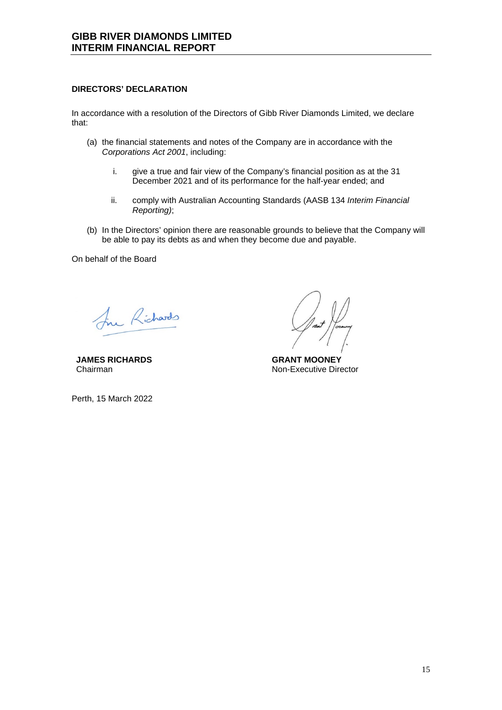# **DIRECTORS' DECLARATION**

In accordance with a resolution of the Directors of Gibb River Diamonds Limited, we declare that:

- (a) the financial statements and notes of the Company are in accordance with the *Corporations Act 2001*, including:
	- i. give a true and fair view of the Company's financial position as at the 31 December 2021 and of its performance for the half-year ended; and
	- ii. comply with Australian Accounting Standards (AASB 134 *Interim Financial Reporting)*;
- (b) In the Directors' opinion there are reasonable grounds to believe that the Company will be able to pay its debts as and when they become due and payable.

On behalf of the Board

In Richards

**JAMES RICHARDS**  Chairman

Perth, 15 March 2022

**GRANT MOONEY**  Non-Executive Director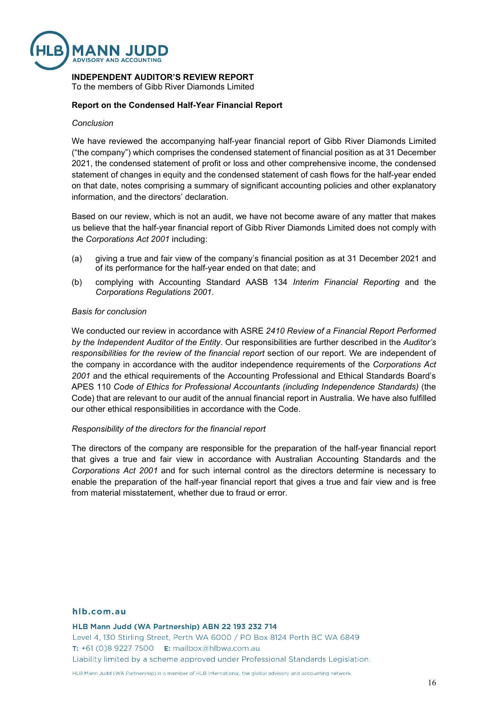

# **INDEPENDENT AUDITOR'S REVIEW REPORT**

To the members of Gibb River Diamonds Limited

#### **Report on the Condensed Half-Year Financial Report**

#### *Conclusion*

We have reviewed the accompanying half-year financial report of Gibb River Diamonds Limited ("the company") which comprises the condensed statement of financial position as at 31 December 2021, the condensed statement of profit or loss and other comprehensive income, the condensed statement of changes in equity and the condensed statement of cash flows for the half-year ended on that date, notes comprising a summary of significant accounting policies and other explanatory information, and the directors' declaration.

Based on our review, which is not an audit, we have not become aware of any matter that makes us believe that the half-year financial report of Gibb River Diamonds Limited does not comply with the *Corporations Act 2001* including:

- (a) giving a true and fair view of the company's financial position as at 31 December 2021 and of its performance for the half-year ended on that date; and
- (b) complying with Accounting Standard AASB 134 *Interim Financial Reporting* and the *Corporations Regulations 2001*.

#### *Basis for conclusion*

We conducted our review in accordance with ASRE *2410 Review of a Financial Report Performed by the Independent Auditor of the Entity*. Our responsibilities are further described in the *Auditor's responsibilities for the review of the financial report* section of our report. We are independent of the company in accordance with the auditor independence requirements of the *Corporations Act 2001* and the ethical requirements of the Accounting Professional and Ethical Standards Board's APES 110 *Code of Ethics for Professional Accountants (including Independence Standards)* (the Code) that are relevant to our audit of the annual financial report in Australia. We have also fulfilled our other ethical responsibilities in accordance with the Code.

#### *Responsibility of the directors for the financial report*

The directors of the company are responsible for the preparation of the half-year financial report that gives a true and fair view in accordance with Australian Accounting Standards and the *Corporations Act 2001* and for such internal control as the directors determine is necessary to enable the preparation of the half-year financial report that gives a true and fair view and is free from material misstatement, whether due to fraud or error.

#### hlb.com.au

HLB Mann Judd (WA Partnership) ABN 22 193 232 714

Level 4, 130 Stirling Street, Perth WA 6000 / PO Box 8124 Perth BC WA 6849 **T:** +61 (0)8 9227 7500 **E:** mailbox@hlbwa.com.au Liability limited by a scheme approved under Professional Standards Legislation.

HLB Mann Judd (WA Partnership) is a member of HLB International, the global advisory and accounting network